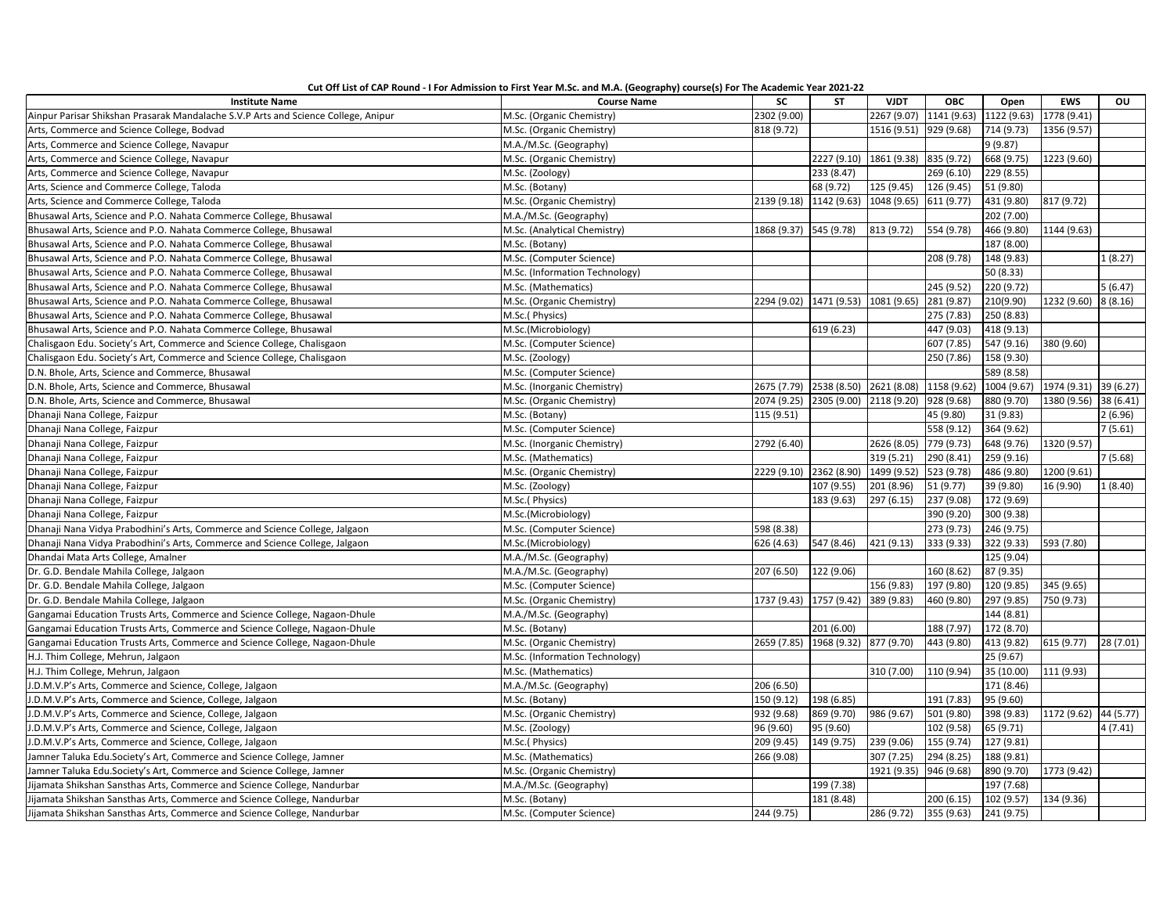| Cut Off List of CAP Round - I For Admission to First Year M.Sc. and M.A. (Geography) course(s) For The Academic Year 2021-22 |  |
|------------------------------------------------------------------------------------------------------------------------------|--|
|------------------------------------------------------------------------------------------------------------------------------|--|

| <b>Institute Name</b>                                                              | <b>Course Name</b>             | SC                     | <b>ST</b>                           | <b>VJDT</b>            | <b>OBC</b>              | Open        | <b>EWS</b>            | OU        |
|------------------------------------------------------------------------------------|--------------------------------|------------------------|-------------------------------------|------------------------|-------------------------|-------------|-----------------------|-----------|
| Ainpur Parisar Shikshan Prasarak Mandalache S.V.P Arts and Science College, Anipur | M.Sc. (Organic Chemistry)      | 2302 (9.00)            |                                     | 2267 (9.07)            | 1141 (9.63) 1122 (9.63) |             | 1778 (9.41)           |           |
| Arts, Commerce and Science College, Bodvad                                         | M.Sc. (Organic Chemistry)      | 818 (9.72)             |                                     | 1516 (9.51) 929 (9.68) |                         | 714 (9.73)  | 1356 (9.57)           |           |
| Arts, Commerce and Science College, Navapur                                        | M.A./M.Sc. (Geography)         |                        |                                     |                        |                         | 9(9.87)     |                       |           |
| Arts, Commerce and Science College, Navapur                                        | M.Sc. (Organic Chemistry)      |                        | 2227 (9.10)                         | 1861 (9.38)            | 835 (9.72)              | 668 (9.75)  | 1223 (9.60)           |           |
| Arts, Commerce and Science College, Navapur                                        | M.Sc. (Zoology)                |                        | 233 (8.47)                          |                        | 269 (6.10)              | 229 (8.55)  |                       |           |
| Arts, Science and Commerce College, Taloda                                         | M.Sc. (Botany)                 |                        | 68 (9.72)                           | 125 (9.45)             | 126 (9.45)              | 51 (9.80)   |                       |           |
| Arts, Science and Commerce College, Taloda                                         | M.Sc. (Organic Chemistry)      |                        | 2139 (9.18) 1142 (9.63) 1048 (9.65) |                        | 611 (9.77)              | 431 (9.80)  | 817 (9.72)            |           |
| Bhusawal Arts, Science and P.O. Nahata Commerce College, Bhusawal                  | M.A./M.Sc. (Geography)         |                        |                                     |                        |                         | 202 (7.00)  |                       |           |
| Bhusawal Arts, Science and P.O. Nahata Commerce College, Bhusawal                  | M.Sc. (Analytical Chemistry)   | 1868 (9.37) 545 (9.78) |                                     | 813 (9.72)             | 554 (9.78)              | 466 (9.80)  | 1144 (9.63)           |           |
| Bhusawal Arts, Science and P.O. Nahata Commerce College, Bhusawal                  | M.Sc. (Botany)                 |                        |                                     |                        |                         | 187 (8.00)  |                       |           |
| Bhusawal Arts, Science and P.O. Nahata Commerce College, Bhusawal                  | M.Sc. (Computer Science)       |                        |                                     |                        | 208 (9.78)              | 148 (9.83)  |                       | 1(8.27)   |
| Bhusawal Arts, Science and P.O. Nahata Commerce College, Bhusawal                  | M.Sc. (Information Technology) |                        |                                     |                        |                         | 50 (8.33)   |                       |           |
| Bhusawal Arts, Science and P.O. Nahata Commerce College, Bhusawal                  | M.Sc. (Mathematics)            |                        |                                     |                        | 245 (9.52)              | 220 (9.72)  |                       | 5(6.47)   |
| Bhusawal Arts, Science and P.O. Nahata Commerce College, Bhusawal                  | M.Sc. (Organic Chemistry)      | 2294 (9.02)            | 1471 (9.53)                         | 1081 (9.65)            | 281 (9.87)              | 210(9.90)   | 1232 (9.60)           | 8(8.16)   |
| Bhusawal Arts, Science and P.O. Nahata Commerce College, Bhusawal                  | M.Sc.(Physics)                 |                        |                                     |                        | 275 (7.83)              | 250 (8.83)  |                       |           |
| Bhusawal Arts, Science and P.O. Nahata Commerce College, Bhusawal                  | M.Sc.(Microbiology)            |                        | 619 (6.23)                          |                        | 447 (9.03)              | 418 (9.13)  |                       |           |
| Chalisgaon Edu. Society's Art, Commerce and Science College, Chalisgaon            | M.Sc. (Computer Science)       |                        |                                     |                        | 607 (7.85)              | 547 (9.16)  | 380 (9.60)            |           |
| Chalisgaon Edu. Society's Art, Commerce and Science College, Chalisgaon            | M.Sc. (Zoology)                |                        |                                     |                        | 250 (7.86)              | 158 (9.30)  |                       |           |
| D.N. Bhole, Arts, Science and Commerce, Bhusawal                                   | M.Sc. (Computer Science)       |                        |                                     |                        |                         | 589 (8.58)  |                       |           |
| D.N. Bhole, Arts, Science and Commerce, Bhusawal                                   | M.Sc. (Inorganic Chemistry)    |                        | 2675 (7.79) 2538 (8.50) 2621 (8.08) |                        | 1158 (9.62)             | 1004 (9.67) | 1974 (9.31)           | 39 (6.27) |
| D.N. Bhole, Arts, Science and Commerce, Bhusawal                                   | M.Sc. (Organic Chemistry)      |                        | 2074 (9.25) 2305 (9.00) 2118 (9.20) |                        | 928 (9.68)              | 880 (9.70)  | 1380 (9.56)           | 38 (6.41) |
| Dhanaji Nana College, Faizpur                                                      | M.Sc. (Botany)                 | 115 (9.51)             |                                     |                        | 45 (9.80)               | 31 (9.83)   |                       | 2(6.96)   |
| Dhanaji Nana College, Faizpur                                                      | M.Sc. (Computer Science)       |                        |                                     |                        | 558 (9.12)              | 364 (9.62)  |                       | 7(5.61)   |
| Dhanaji Nana College, Faizpur                                                      | M.Sc. (Inorganic Chemistry)    | 2792 (6.40)            |                                     | 2626 (8.05)            | 779 (9.73)              | 648 (9.76)  | 1320 (9.57)           |           |
| Dhanaji Nana College, Faizpur                                                      | M.Sc. (Mathematics)            |                        |                                     | 319 (5.21)             | 290 (8.41)              | 259 (9.16)  |                       | 7(5.68)   |
| Dhanaji Nana College, Faizpur                                                      | M.Sc. (Organic Chemistry)      |                        | 2229 (9.10) 2362 (8.90)             | 1499 (9.52)            | 523 (9.78)              | 486 (9.80)  | 1200 (9.61)           |           |
| Dhanaji Nana College, Faizpur                                                      | M.Sc. (Zoology)                |                        | 107 (9.55)                          | 201 (8.96)             | 51 (9.77)               | 39 (9.80)   | 16 (9.90)             | 1(8.40)   |
| Dhanaji Nana College, Faizpur                                                      | M.Sc.(Physics)                 |                        | 183 (9.63)                          | 297 (6.15)             | 237 (9.08)              | 172 (9.69)  |                       |           |
| Dhanaji Nana College, Faizpur                                                      | M.Sc.(Microbiology)            |                        |                                     |                        | 390 (9.20)              | 300 (9.38)  |                       |           |
| Dhanaji Nana Vidya Prabodhini's Arts, Commerce and Science College, Jalgaon        | M.Sc. (Computer Science)       | 598 (8.38)             |                                     |                        | 273 (9.73)              | 246 (9.75)  |                       |           |
| Dhanaji Nana Vidya Prabodhini's Arts, Commerce and Science College, Jalgaon        | M.Sc.(Microbiology)            | 626 (4.63)             | 547 (8.46)                          | 421 (9.13)             | 333 (9.33)              | 322 (9.33)  | 593 (7.80)            |           |
| Dhandai Mata Arts College, Amalner                                                 | M.A./M.Sc. (Geography)         |                        |                                     |                        |                         | 125 (9.04)  |                       |           |
| Dr. G.D. Bendale Mahila College, Jalgaon                                           | M.A./M.Sc. (Geography)         | 207 (6.50)             | 122 (9.06)                          |                        | 160 (8.62)              | 87 (9.35)   |                       |           |
| Dr. G.D. Bendale Mahila College, Jalgaon                                           | M.Sc. (Computer Science)       |                        |                                     | 156 (9.83)             | 197 (9.80)              | 120 (9.85)  | 345 (9.65)            |           |
| Dr. G.D. Bendale Mahila College, Jalgaon                                           | M.Sc. (Organic Chemistry)      | 1737 (9.43)            | 1757 (9.42)                         | 389 (9.83)             | 460 (9.80)              | 297 (9.85)  | 750 (9.73)            |           |
| Gangamai Education Trusts Arts, Commerce and Science College, Nagaon-Dhule         | M.A./M.Sc. (Geography)         |                        |                                     |                        |                         | 144 (8.81)  |                       |           |
| Gangamai Education Trusts Arts, Commerce and Science College, Nagaon-Dhule         | M.Sc. (Botany)                 |                        | 201 (6.00)                          |                        | 188 (7.97)              | 172 (8.70)  |                       |           |
| Gangamai Education Trusts Arts, Commerce and Science College, Nagaon-Dhule         | M.Sc. (Organic Chemistry)      |                        | 2659 (7.85) 1968 (9.32)             | 877 (9.70)             | 443 (9.80)              | 413 (9.82)  | 615 (9.77)            | 28 (7.01) |
| H.J. Thim College, Mehrun, Jalgaon                                                 | M.Sc. (Information Technology) |                        |                                     |                        |                         | 25 (9.67)   |                       |           |
| H.J. Thim College, Mehrun, Jalgaon                                                 | M.Sc. (Mathematics)            |                        |                                     | 310 (7.00)             | 110 (9.94)              | 35 (10.00)  | 111 (9.93)            |           |
| J.D.M.V.P's Arts, Commerce and Science, College, Jalgaon                           | M.A./M.Sc. (Geography)         | 206 (6.50)             |                                     |                        |                         | 171 (8.46)  |                       |           |
| J.D.M.V.P's Arts, Commerce and Science, College, Jalgaon                           | M.Sc. (Botany)                 | 150 (9.12)             | 198 (6.85)                          |                        | 191 (7.83)              | 95 (9.60)   |                       |           |
| J.D.M.V.P's Arts, Commerce and Science, College, Jalgaon                           | M.Sc. (Organic Chemistry)      | 932 (9.68)             | 869 (9.70)                          | 986 (9.67)             | 501 (9.80)              | 398 (9.83)  | 1172 (9.62) 44 (5.77) |           |
| J.D.M.V.P's Arts, Commerce and Science, College, Jalgaon                           | M.Sc. (Zoology)                | 96 (9.60)              | 95 (9.60)                           |                        | 102 (9.58)              | 65 (9.71)   |                       | 4 (7.41)  |
| J.D.M.V.P's Arts, Commerce and Science, College, Jalgaon                           | M.Sc.(Physics)                 | 209 (9.45)             | 149 (9.75)                          | 239 (9.06)             | 155 (9.74)              | 127 (9.81)  |                       |           |
| Jamner Taluka Edu.Society's Art, Commerce and Science College, Jamner              | M.Sc. (Mathematics)            | 266 (9.08)             |                                     | 307 (7.25)             | 294 (8.25)              | 188 (9.81)  |                       |           |
| Jamner Taluka Edu.Society's Art, Commerce and Science College, Jamner              | M.Sc. (Organic Chemistry)      |                        |                                     | 1921 (9.35)            | 946 (9.68)              | 890 (9.70)  | 1773 (9.42)           |           |
| Jijamata Shikshan Sansthas Arts, Commerce and Science College, Nandurbar           | M.A./M.Sc. (Geography)         |                        | 199 (7.38)                          |                        |                         | 197 (7.68)  |                       |           |
| Jijamata Shikshan Sansthas Arts, Commerce and Science College, Nandurbar           | M.Sc. (Botany)                 |                        | 181 (8.48)                          |                        | 200 (6.15)              | 102 (9.57)  | 134 (9.36)            |           |
| Jijamata Shikshan Sansthas Arts, Commerce and Science College, Nandurbar           | M.Sc. (Computer Science)       | 244 (9.75)             |                                     | 286 (9.72)             | 355 (9.63)              | 241 (9.75)  |                       |           |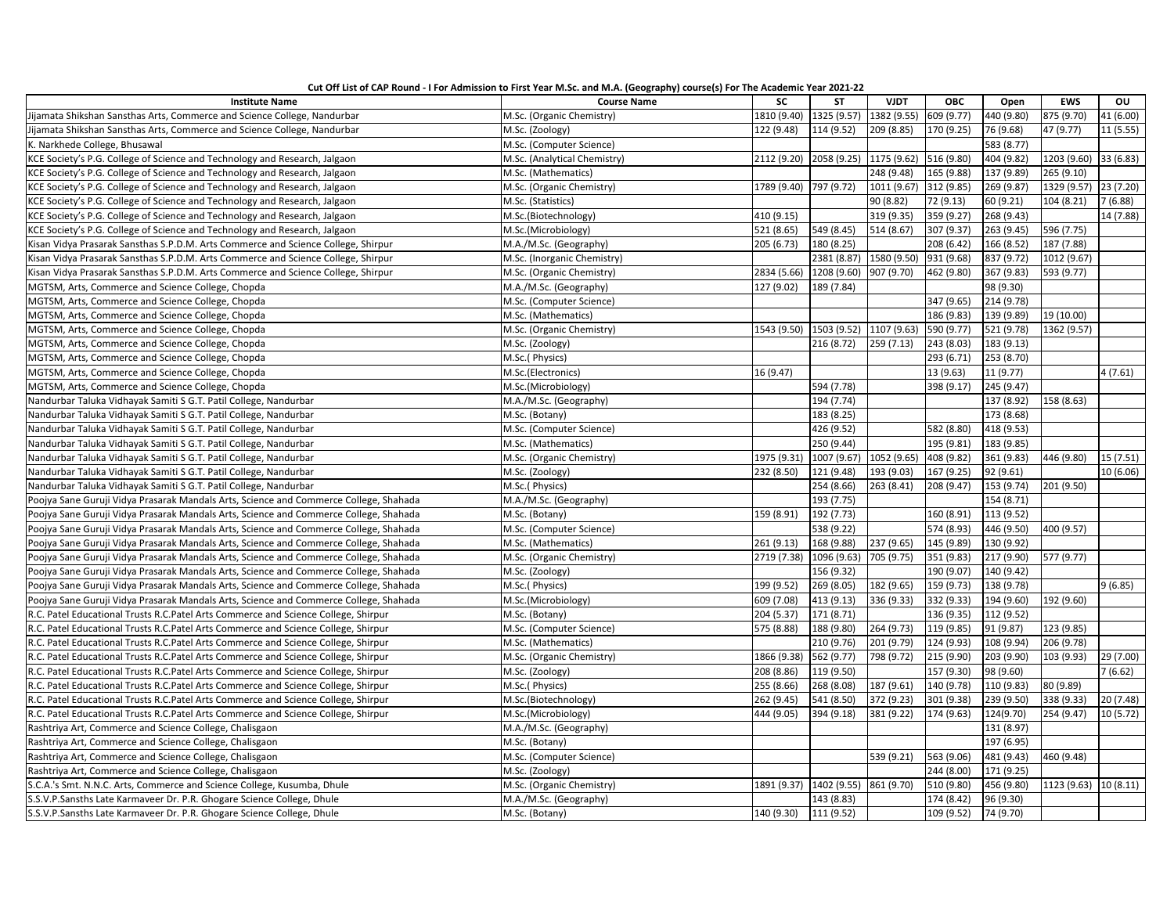| Cut Off List of CAP Round - I For Admission to First Year M.Sc. and M.A. (Geography) course(s) For The Academic Year 2021-22 |  |  |  |
|------------------------------------------------------------------------------------------------------------------------------|--|--|--|
|                                                                                                                              |  |  |  |
|                                                                                                                              |  |  |  |

| <b>Institute Name</b>                                                                 | <b>Course Name</b>           | <b>SC</b>   | <b>ST</b>                           | <b>VJDT</b>             | <b>OBC</b> | Open       | <b>EWS</b>            | OU        |
|---------------------------------------------------------------------------------------|------------------------------|-------------|-------------------------------------|-------------------------|------------|------------|-----------------------|-----------|
| Jijamata Shikshan Sansthas Arts, Commerce and Science College, Nandurbar              | M.Sc. (Organic Chemistry)    | 1810 (9.40) | 1325 (9.57) 1382 (9.55)             |                         | 609 (9.77) | 440 (9.80) | 875 (9.70)            | 41 (6.00) |
| Jijamata Shikshan Sansthas Arts, Commerce and Science College, Nandurbar              | M.Sc. (Zoology)              | 122 (9.48)  | 114 (9.52)                          | 209 (8.85)              | 170 (9.25) | 76 (9.68)  | 47 (9.77)             | 11(5.55)  |
| K. Narkhede College, Bhusawal                                                         | M.Sc. (Computer Science)     |             |                                     |                         |            | 583 (8.77) |                       |           |
| KCE Society's P.G. College of Science and Technology and Research, Jalgaon            | M.Sc. (Analytical Chemistry) | 2112 (9.20) | 2058 (9.25)                         | 1175 (9.62)             | 516 (9.80) | 404 (9.82) | 1203 (9.60)           | 33 (6.83) |
| KCE Society's P.G. College of Science and Technology and Research, Jalgaon            | M.Sc. (Mathematics)          |             |                                     | 248 (9.48)              | 165 (9.88) | 137 (9.89) | 265 (9.10)            |           |
| KCE Society's P.G. College of Science and Technology and Research, Jalgaon            | M.Sc. (Organic Chemistry)    |             | 1789 (9.40) 797 (9.72)              | 1011 (9.67)             | 312 (9.85) | 269 (9.87) | 1329 (9.57)           | 23 (7.20) |
| KCE Society's P.G. College of Science and Technology and Research, Jalgaon            | M.Sc. (Statistics)           |             |                                     | 90 (8.82)               | 72 (9.13)  | 60 (9.21)  | 104 (8.21)            | 7(6.88)   |
| KCE Society's P.G. College of Science and Technology and Research, Jalgaon            | M.Sc.(Biotechnology)         | 410 (9.15)  |                                     | 319 (9.35)              | 359 (9.27) | 268 (9.43) |                       | 14 (7.88) |
| KCE Society's P.G. College of Science and Technology and Research, Jalgaon            | M.Sc.(Microbiology)          | 521 (8.65)  | 549 (8.45)                          | 514 (8.67)              | 307 (9.37) | 263 (9.45) | 596 (7.75)            |           |
| Kisan Vidya Prasarak Sansthas S.P.D.M. Arts Commerce and Science College, Shirpur     | M.A./M.Sc. (Geography)       | 205 (6.73)  | 180 (8.25)                          |                         | 208 (6.42) | 166 (8.52) | 187 (7.88)            |           |
| Kisan Vidya Prasarak Sansthas S.P.D.M. Arts Commerce and Science College, Shirpur     | M.Sc. (Inorganic Chemistry)  |             |                                     | 2381 (8.87) 1580 (9.50) | 931 (9.68) | 837 (9.72) | 1012 (9.67)           |           |
| Kisan Vidya Prasarak Sansthas S.P.D.M. Arts Commerce and Science College, Shirpur     | M.Sc. (Organic Chemistry)    | 2834 (5.66) | 1208 (9.60) 907 (9.70)              |                         | 462 (9.80) | 367 (9.83) | 593 (9.77)            |           |
| MGTSM, Arts, Commerce and Science College, Chopda                                     | M.A./M.Sc. (Geography)       | 127 (9.02)  | 189 (7.84)                          |                         |            | 98 (9.30)  |                       |           |
| MGTSM, Arts, Commerce and Science College, Chopda                                     | M.Sc. (Computer Science)     |             |                                     |                         | 347 (9.65) | 214 (9.78) |                       |           |
| MGTSM, Arts, Commerce and Science College, Chopda                                     | M.Sc. (Mathematics)          |             |                                     |                         | 186 (9.83) | 139 (9.89) | 19 (10.00)            |           |
| MGTSM, Arts, Commerce and Science College, Chopda                                     | M.Sc. (Organic Chemistry)    |             | 1543 (9.50) 1503 (9.52) 1107 (9.63) |                         | 590 (9.77) | 521 (9.78) | 1362 (9.57)           |           |
| MGTSM, Arts, Commerce and Science College, Chopda                                     | M.Sc. (Zoology)              |             | 216 (8.72)                          | 259 (7.13)              | 243 (8.03) | 183 (9.13) |                       |           |
| MGTSM, Arts, Commerce and Science College, Chopda                                     | M.Sc.(Physics)               |             |                                     |                         | 293 (6.71) | 253 (8.70) |                       |           |
| MGTSM, Arts, Commerce and Science College, Chopda                                     | M.Sc.(Electronics)           | 16 (9.47)   |                                     |                         | 13 (9.63)  | 11 (9.77)  |                       | 4(7.61)   |
| MGTSM, Arts, Commerce and Science College, Chopda                                     | M.Sc.(Microbiology)          |             | 594 (7.78)                          |                         | 398 (9.17) | 245 (9.47) |                       |           |
| Nandurbar Taluka Vidhayak Samiti S G.T. Patil College, Nandurbar                      | M.A./M.Sc. (Geography)       |             | 194 (7.74)                          |                         |            | 137 (8.92) | 158 (8.63)            |           |
| Nandurbar Taluka Vidhayak Samiti S G.T. Patil College, Nandurbar                      | M.Sc. (Botany)               |             | 183 (8.25)                          |                         |            | 173 (8.68) |                       |           |
| Nandurbar Taluka Vidhayak Samiti S G.T. Patil College, Nandurbar                      | M.Sc. (Computer Science)     |             | 426 (9.52)                          |                         | 582 (8.80) | 418 (9.53) |                       |           |
| Nandurbar Taluka Vidhayak Samiti S G.T. Patil College, Nandurbar                      | M.Sc. (Mathematics)          |             | 250 (9.44)                          |                         | 195 (9.81) | 183 (9.85) |                       |           |
| Nandurbar Taluka Vidhayak Samiti S G.T. Patil College, Nandurbar                      | M.Sc. (Organic Chemistry)    | 1975 (9.31) | 1007 (9.67) 1052 (9.65)             |                         | 408 (9.82) | 361 (9.83) | 446 (9.80)            | 15 (7.51) |
| Nandurbar Taluka Vidhayak Samiti S G.T. Patil College, Nandurbar                      | M.Sc. (Zoology)              | 232 (8.50)  | 121 (9.48)                          | 193 (9.03)              | 167 (9.25) | 92 (9.61)  |                       | 10 (6.06) |
| Nandurbar Taluka Vidhayak Samiti S G.T. Patil College, Nandurbar                      | M.Sc.(Physics)               |             | 254 (8.66)                          | 263 (8.41)              | 208 (9.47) | 153 (9.74) | 201 (9.50)            |           |
| Poojya Sane Guruji Vidya Prasarak Mandals Arts, Science and Commerce College, Shahada | M.A./M.Sc. (Geography)       |             | 193 (7.75)                          |                         |            | 154 (8.71) |                       |           |
| Poojya Sane Guruji Vidya Prasarak Mandals Arts, Science and Commerce College, Shahada | M.Sc. (Botany)               | 159 (8.91)  | 192 (7.73)                          |                         | 160 (8.91) | 113 (9.52) |                       |           |
| Poojya Sane Guruji Vidya Prasarak Mandals Arts, Science and Commerce College, Shahada | M.Sc. (Computer Science)     |             | 538 (9.22)                          |                         | 574 (8.93) | 446 (9.50) | 400 (9.57)            |           |
| Poojya Sane Guruji Vidya Prasarak Mandals Arts, Science and Commerce College, Shahada | M.Sc. (Mathematics)          | 261 (9.13)  | 168 (9.88)                          | 237 (9.65)              | 145 (9.89) | 130 (9.92) |                       |           |
| Poojya Sane Guruji Vidya Prasarak Mandals Arts, Science and Commerce College, Shahada | M.Sc. (Organic Chemistry)    | 2719 (7.38) | 1096 (9.63)                         | 705 (9.75)              | 351 (9.83) | 217 (9.90) | 577 (9.77)            |           |
| Poojya Sane Guruji Vidya Prasarak Mandals Arts, Science and Commerce College, Shahada | M.Sc. (Zoology)              |             | 156 (9.32)                          |                         | 190 (9.07) | 140 (9.42) |                       |           |
| Poojya Sane Guruji Vidya Prasarak Mandals Arts, Science and Commerce College, Shahada | M.Sc.(Physics)               | 199 (9.52)  | 269 (8.05)                          | 182 (9.65)              | 159 (9.73) | 138 (9.78) |                       | 9(6.85)   |
| Poojya Sane Guruji Vidya Prasarak Mandals Arts, Science and Commerce College, Shahada | M.Sc.(Microbiology)          | 609 (7.08)  | 413 (9.13)                          | 336 (9.33)              | 332 (9.33) | 194 (9.60) | 192 (9.60)            |           |
| R.C. Patel Educational Trusts R.C.Patel Arts Commerce and Science College, Shirpur    | M.Sc. (Botany)               | 204 (5.37)  | 171 (8.71)                          |                         | 136 (9.35) | 112 (9.52) |                       |           |
| R.C. Patel Educational Trusts R.C.Patel Arts Commerce and Science College, Shirpur    | M.Sc. (Computer Science)     | 575 (8.88)  | 188 (9.80)                          | 264 (9.73)              | 119 (9.85) | 91 (9.87)  | 123 (9.85)            |           |
| R.C. Patel Educational Trusts R.C.Patel Arts Commerce and Science College, Shirpur    | M.Sc. (Mathematics)          |             | 210 (9.76)                          | 201 (9.79)              | 124 (9.93) | 108 (9.94) | 206 (9.78)            |           |
| R.C. Patel Educational Trusts R.C.Patel Arts Commerce and Science College, Shirpur    | M.Sc. (Organic Chemistry)    | 1866 (9.38) | 562 (9.77)                          | 798 (9.72)              | 215 (9.90) | 203 (9.90) | 103 (9.93)            | 29 (7.00) |
| R.C. Patel Educational Trusts R.C.Patel Arts Commerce and Science College, Shirpur    | M.Sc. (Zoology)              | 208 (8.86)  | 119 (9.50)                          |                         | 157 (9.30) | 98 (9.60)  |                       | 7(6.62)   |
| R.C. Patel Educational Trusts R.C.Patel Arts Commerce and Science College, Shirpur    | M.Sc.(Physics)               | 255 (8.66)  | 268 (8.08)                          | 187 (9.61)              | 140 (9.78) | 110 (9.83) | 80 (9.89)             |           |
| R.C. Patel Educational Trusts R.C.Patel Arts Commerce and Science College, Shirpur    | M.Sc.(Biotechnology)         | 262 (9.45)  | 541 (8.50)                          | 372 (9.23)              | 301 (9.38) | 239 (9.50) | 338 (9.33)            | 20 (7.48) |
| R.C. Patel Educational Trusts R.C.Patel Arts Commerce and Science College, Shirpur    | M.Sc.(Microbiology)          | 444 (9.05)  | 394 (9.18)                          | 381 (9.22)              | 174 (9.63) | 124(9.70)  | 254 (9.47)            | 10 (5.72) |
| Rashtriya Art, Commerce and Science College, Chalisgaon                               | M.A./M.Sc. (Geography)       |             |                                     |                         |            | 131 (8.97) |                       |           |
| Rashtriya Art, Commerce and Science College, Chalisgaon                               | M.Sc. (Botany)               |             |                                     |                         |            | 197 (6.95) |                       |           |
| Rashtriya Art, Commerce and Science College, Chalisgaon                               | M.Sc. (Computer Science)     |             |                                     | 539 (9.21)              | 563 (9.06) | 481 (9.43) | 460 (9.48)            |           |
| Rashtriya Art, Commerce and Science College, Chalisgaon                               | M.Sc. (Zoology)              |             |                                     |                         | 244 (8.00) | 171 (9.25) |                       |           |
| S.C.A.'s Smt. N.N.C. Arts, Commerce and Science College, Kusumba, Dhule               | M.Sc. (Organic Chemistry)    |             | 1891 (9.37) 1402 (9.55) 861 (9.70)  |                         | 510 (9.80) | 456 (9.80) | 1123 (9.63) 10 (8.11) |           |
| S.S.V.P.Sansths Late Karmaveer Dr. P.R. Ghogare Science College, Dhule                | M.A./M.Sc. (Geography)       |             | 143 (8.83)                          |                         | 174 (8.42) | 96 (9.30)  |                       |           |
| S.S.V.P.Sansths Late Karmaveer Dr. P.R. Ghogare Science College, Dhule                | M.Sc. (Botany)               | 140 (9.30)  | 111 (9.52)                          |                         | 109 (9.52) | 74 (9.70)  |                       |           |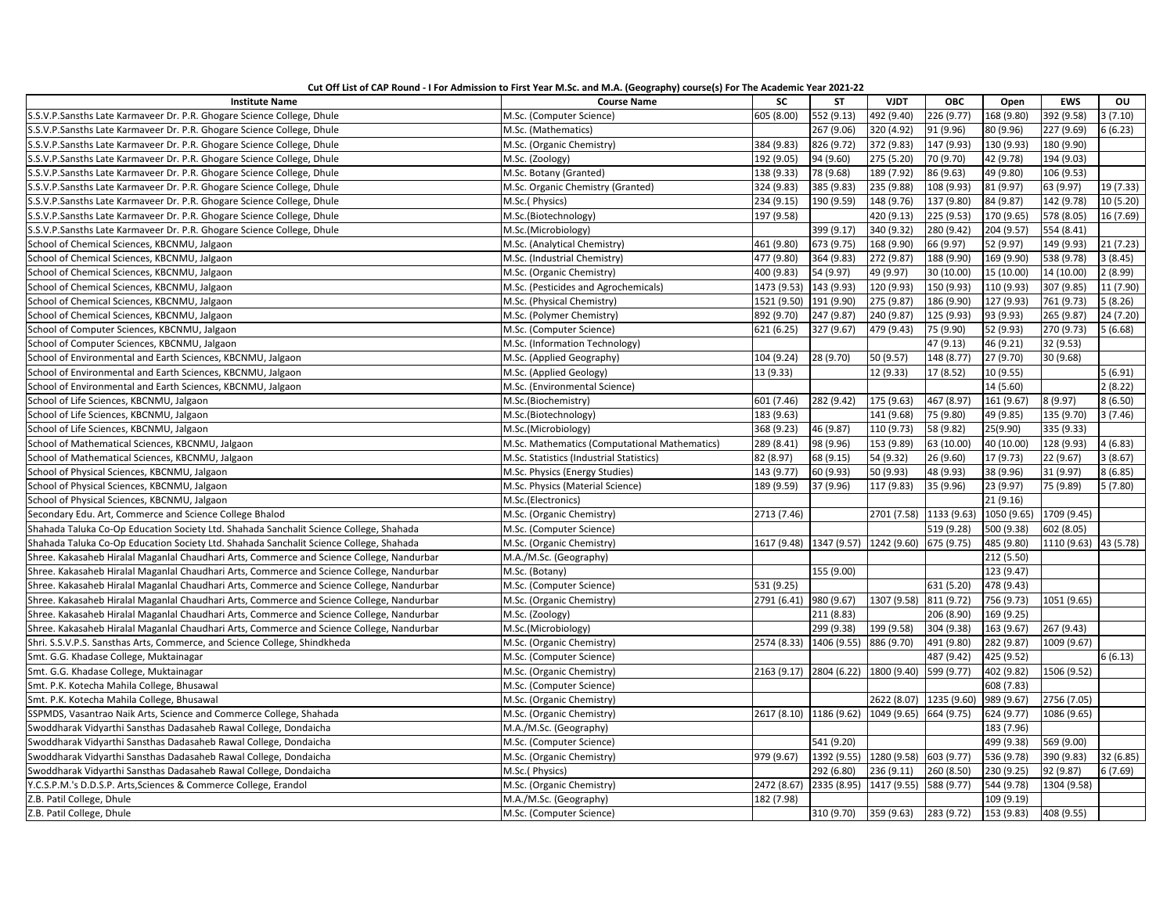| Cut Off List of CAP Round - I For Admission to First Year M.Sc. and M.A. (Geography) course(s) For The Academic Year 2021-22 |  |
|------------------------------------------------------------------------------------------------------------------------------|--|
|------------------------------------------------------------------------------------------------------------------------------|--|

| <b>Institute Name</b>                                                                     | <b>Course Name</b>                            | <b>SC</b>   | <b>ST</b>                                      | <b>VJDT</b>                        | <b>OBC</b>              | Open        | <b>EWS</b>  | OU        |
|-------------------------------------------------------------------------------------------|-----------------------------------------------|-------------|------------------------------------------------|------------------------------------|-------------------------|-------------|-------------|-----------|
| S.S.V.P.Sansths Late Karmaveer Dr. P.R. Ghogare Science College, Dhule                    | M.Sc. (Computer Science)                      | 605 (8.00)  | 552 (9.13)                                     | 492 (9.40)                         | 226 (9.77)              | 168 (9.80)  | 392 (9.58)  | 3(7.10)   |
| S.S.V.P.Sansths Late Karmaveer Dr. P.R. Ghogare Science College, Dhule                    | M.Sc. (Mathematics)                           |             | 267 (9.06)                                     | 320 (4.92)                         | 91 (9.96)               | 80 (9.96)   | 227 (9.69)  | 6(6.23)   |
| S.S.V.P.Sansths Late Karmaveer Dr. P.R. Ghogare Science College, Dhule                    | M.Sc. (Organic Chemistry)                     | 384 (9.83)  | 826 (9.72)                                     | 372 (9.83)                         | 147 (9.93)              | 130 (9.93)  | 180 (9.90)  |           |
| S.S.V.P.Sansths Late Karmaveer Dr. P.R. Ghogare Science College, Dhule                    | M.Sc. (Zoology)                               | 192 (9.05)  | 94 (9.60)                                      | 275 (5.20)                         | 70 (9.70)               | 42 (9.78)   | 194 (9.03)  |           |
| S.S.V.P.Sansths Late Karmaveer Dr. P.R. Ghogare Science College, Dhule                    | M.Sc. Botany (Granted)                        | 138 (9.33)  | 78 (9.68)                                      | 189 (7.92)                         | 86 (9.63)               | 49 (9.80)   | 106 (9.53)  |           |
| S.S.V.P.Sansths Late Karmaveer Dr. P.R. Ghogare Science College, Dhule                    | M.Sc. Organic Chemistry (Granted)             | 324 (9.83)  | 385 (9.83)                                     | 235 (9.88)                         | 108 (9.93)              | 81 (9.97)   | 63 (9.97)   | 19 (7.33) |
| S.S.V.P.Sansths Late Karmaveer Dr. P.R. Ghogare Science College, Dhule                    | M.Sc.(Physics)                                | 234 (9.15)  | 190 (9.59)                                     | 148 (9.76)                         | 137 (9.80)              | 84 (9.87)   | 142 (9.78)  | 10 (5.20) |
| S.S.V.P.Sansths Late Karmaveer Dr. P.R. Ghogare Science College, Dhule                    | M.Sc.(Biotechnology)                          | 197 (9.58)  |                                                | 420 (9.13)                         | 225 (9.53)              | 170 (9.65)  | 578 (8.05)  | 16 (7.69) |
| S.S.V.P.Sansths Late Karmaveer Dr. P.R. Ghogare Science College, Dhule                    | M.Sc.(Microbiology)                           |             | 399 (9.17)                                     | 340 (9.32)                         | 280 (9.42)              | 204 (9.57)  | 554 (8.41)  |           |
| School of Chemical Sciences, KBCNMU, Jalgaon                                              | M.Sc. (Analytical Chemistry)                  | 461 (9.80)  | 673 (9.75)                                     | 168 (9.90)                         | 66 (9.97)               | 52 (9.97)   | 149 (9.93)  | 21(7.23)  |
| School of Chemical Sciences, KBCNMU, Jalgaon                                              | M.Sc. (Industrial Chemistry)                  | 477 (9.80)  | 364 (9.83)                                     | 272 (9.87)                         | 188 (9.90)              | 169 (9.90)  | 538 (9.78)  | 3(8.45)   |
| School of Chemical Sciences, KBCNMU, Jalgaon                                              | M.Sc. (Organic Chemistry)                     | 400 (9.83)  | 54 (9.97)                                      | 49 (9.97)                          | 30 (10.00)              | 15 (10.00)  | 14 (10.00)  | 2(8.99)   |
| School of Chemical Sciences, KBCNMU, Jalgaon                                              | M.Sc. (Pesticides and Agrochemicals)          | 1473 (9.53) | 143 (9.93)                                     | 120 (9.93)                         | 150 (9.93)              | 110 (9.93)  | 307 (9.85)  | 11 (7.90) |
| School of Chemical Sciences, KBCNMU, Jalgaon                                              | M.Sc. (Physical Chemistry)                    | 1521 (9.50) | 191 (9.90)                                     | 275 (9.87)                         | 186 (9.90)              | 127 (9.93)  | 761 (9.73)  | 5(8.26)   |
| School of Chemical Sciences, KBCNMU, Jalgaon                                              | M.Sc. (Polymer Chemistry)                     | 892 (9.70)  | 247 (9.87)                                     | 240 (9.87)                         | 125 (9.93)              | 93 (9.93)   | 265 (9.87)  | 24 (7.20) |
| School of Computer Sciences, KBCNMU, Jalgaon                                              | M.Sc. (Computer Science)                      | 621 (6.25)  | 327 (9.67)                                     | 479 (9.43)                         | 75 (9.90)               | 52 (9.93)   | 270 (9.73)  | 5(6.68)   |
| School of Computer Sciences, KBCNMU, Jalgaon                                              | M.Sc. (Information Technology)                |             |                                                |                                    | 47 (9.13)               | 46 (9.21)   | 32 (9.53)   |           |
| School of Environmental and Earth Sciences, KBCNMU, Jalgaon                               | M.Sc. (Applied Geography)                     | 104 (9.24)  | 28 (9.70)                                      | 50 (9.57)                          | 148 (8.77)              | 27 (9.70)   | 30 (9.68)   |           |
| School of Environmental and Earth Sciences, KBCNMU, Jalgaon                               | M.Sc. (Applied Geology)                       | 13 (9.33)   |                                                | 12 (9.33)                          | 17 (8.52)               | 10 (9.55)   |             | 5(6.91)   |
| School of Environmental and Earth Sciences, KBCNMU, Jalgaon                               | M.Sc. (Environmental Science)                 |             |                                                |                                    |                         | 14 (5.60)   |             | 2(8.22)   |
| School of Life Sciences, KBCNMU, Jalgaon                                                  | M.Sc.(Biochemistry)                           | 601 (7.46)  | 282 (9.42)                                     | 175 (9.63)                         | 467 (8.97)              | 161 (9.67)  | 8 (9.97)    | 8(6.50)   |
| School of Life Sciences, KBCNMU, Jalgaon                                                  | M.Sc.(Biotechnology)                          | 183 (9.63)  |                                                | 141 (9.68)                         | 75 (9.80)               | 49 (9.85)   | 135 (9.70)  | 3(7.46)   |
| School of Life Sciences, KBCNMU, Jalgaon                                                  | M.Sc.(Microbiology)                           | 368 (9.23)  | 46 (9.87)                                      | 110 (9.73)                         | 58 (9.82)               | 25(9.90)    | 335 (9.33)  |           |
| School of Mathematical Sciences, KBCNMU, Jalgaon                                          | M.Sc. Mathematics (Computational Mathematics) | 289 (8.41)  | 98 (9.96)                                      | 153 (9.89)                         | 63 (10.00)              | 40 (10.00)  | 128 (9.93)  | 4(6.83)   |
| School of Mathematical Sciences, KBCNMU, Jalgaon                                          | M.Sc. Statistics (Industrial Statistics)      | 82 (8.97)   | 68 (9.15)                                      | 54 (9.32)                          | 26 (9.60)               | 17 (9.73)   | 22 (9.67)   | 3(8.67)   |
| School of Physical Sciences, KBCNMU, Jalgaon                                              | M.Sc. Physics (Energy Studies)                | 143 (9.77)  | 60 (9.93)                                      | 50 (9.93)                          | 48 (9.93)               | 38 (9.96)   | 31 (9.97)   | 8(6.85)   |
| School of Physical Sciences, KBCNMU, Jalgaon                                              | M.Sc. Physics (Material Science)              | 189 (9.59)  | 37 (9.96)                                      | 117 (9.83)                         | 35 (9.96)               | 23 (9.97)   | 75 (9.89)   | 5(7.80)   |
| School of Physical Sciences, KBCNMU, Jalgaon                                              | M.Sc.(Electronics)                            |             |                                                |                                    |                         | 21(9.16)    |             |           |
| Secondary Edu. Art, Commerce and Science College Bhalod                                   | M.Sc. (Organic Chemistry)                     | 2713 (7.46) |                                                | 2701 (7.58)                        | 1133 (9.63)             | 1050 (9.65) | 1709 (9.45) |           |
| Shahada Taluka Co-Op Education Society Ltd. Shahada Sanchalit Science College, Shahada    | M.Sc. (Computer Science)                      |             |                                                |                                    | 519 (9.28)              | 500 (9.38)  | 602 (8.05)  |           |
| Shahada Taluka Co-Op Education Society Ltd. Shahada Sanchalit Science College, Shahada    | M.Sc. (Organic Chemistry)                     |             | 1617 (9.48) 1347 (9.57) 1242 (9.60) 675 (9.75) |                                    |                         | 485 (9.80)  | 1110 (9.63) | 43 (5.78) |
| Shree. Kakasaheb Hiralal Maganlal Chaudhari Arts, Commerce and Science College, Nandurbar | M.A./M.Sc. (Geography)                        |             |                                                |                                    |                         | 212 (5.50)  |             |           |
| Shree. Kakasaheb Hiralal Maganlal Chaudhari Arts, Commerce and Science College, Nandurbar | M.Sc. (Botany)                                |             | 155 (9.00)                                     |                                    |                         | 123 (9.47)  |             |           |
| Shree. Kakasaheb Hiralal Maganlal Chaudhari Arts, Commerce and Science College, Nandurbar | M.Sc. (Computer Science)                      | 531 (9.25)  |                                                |                                    | 631 (5.20)              | 478 (9.43)  |             |           |
| Shree. Kakasaheb Hiralal Maganlal Chaudhari Arts, Commerce and Science College, Nandurbar | M.Sc. (Organic Chemistry)                     | 2791 (6.41) | 980 (9.67)                                     | 1307 (9.58)                        | 811 (9.72)              | 756 (9.73)  | 1051 (9.65) |           |
| Shree. Kakasaheb Hiralal Maganlal Chaudhari Arts, Commerce and Science College, Nandurbar | M.Sc. (Zoology)                               |             | 211 (8.83)                                     |                                    | 206 (8.90)              | 169 (9.25)  |             |           |
| Shree. Kakasaheb Hiralal Maganlal Chaudhari Arts, Commerce and Science College, Nandurbar | M.Sc.(Microbiology)                           |             | 299 (9.38)                                     | 199 (9.58)                         | 304 (9.38)              | 163 (9.67)  | 267 (9.43)  |           |
| Shri. S.S.V.P.S. Sansthas Arts, Commerce, and Science College, Shindkheda                 | M.Sc. (Organic Chemistry)                     |             | 2574 (8.33) 1406 (9.55) 886 (9.70)             |                                    | 491 (9.80)              | 282 (9.87)  | 1009 (9.67) |           |
| Smt. G.G. Khadase College, Muktainagar                                                    | M.Sc. (Computer Science)                      |             |                                                |                                    | 487 (9.42)              | 425 (9.52)  |             | 6(6.13)   |
| Smt. G.G. Khadase College, Muktainagar                                                    | M.Sc. (Organic Chemistry)                     |             | 2163 (9.17) 2804 (6.22) 1800 (9.40) 599 (9.77) |                                    |                         | 402 (9.82)  | 1506 (9.52) |           |
| Smt. P.K. Kotecha Mahila College, Bhusawal                                                | M.Sc. (Computer Science)                      |             |                                                |                                    |                         | 608 (7.83)  |             |           |
| Smt. P.K. Kotecha Mahila College, Bhusawal                                                | M.Sc. (Organic Chemistry)                     |             |                                                |                                    | 2622 (8.07) 1235 (9.60) | 989 (9.67)  | 2756 (7.05) |           |
| SSPMDS, Vasantrao Naik Arts, Science and Commerce College, Shahada                        | M.Sc. (Organic Chemistry)                     |             | 2617 (8.10) 1186 (9.62) 1049 (9.65) 664 (9.75) |                                    |                         | 624 (9.77)  | 1086 (9.65) |           |
| Swoddharak Vidyarthi Sansthas Dadasaheb Rawal College, Dondaicha                          | M.A./M.Sc. (Geography)                        |             |                                                |                                    |                         | 183 (7.96)  |             |           |
| Swoddharak Vidyarthi Sansthas Dadasaheb Rawal College, Dondaicha                          | M.Sc. (Computer Science)                      |             | 541 (9.20)                                     |                                    |                         | 499 (9.38)  | 569 (9.00)  |           |
| Swoddharak Vidyarthi Sansthas Dadasaheb Rawal College, Dondaicha                          | M.Sc. (Organic Chemistry)                     | 979 (9.67)  |                                                | 1392 (9.55) 1280 (9.58) 603 (9.77) |                         | 536 (9.78)  | 390 (9.83)  | 32 (6.85) |
| Swoddharak Vidyarthi Sansthas Dadasaheb Rawal College, Dondaicha                          | M.Sc.(Physics)                                |             | 292 (6.80)                                     | 236 (9.11)                         | 260 (8.50)              | 230 (9.25)  | 92 (9.87)   | 6(7.69)   |
| Y.C.S.P.M.'s D.D.S.P. Arts, Sciences & Commerce College, Erandol                          | M.Sc. (Organic Chemistry)                     | 2472 (8.67) |                                                | 2335 (8.95) 1417 (9.55)            | 588 (9.77)              | 544 (9.78)  | 1304 (9.58) |           |
| Z.B. Patil College, Dhule                                                                 | M.A./M.Sc. (Geography)                        | 182 (7.98)  |                                                |                                    |                         | 109 (9.19)  |             |           |
| Z.B. Patil College, Dhule                                                                 | M.Sc. (Computer Science)                      |             | 310 (9.70) 359 (9.63)                          |                                    | 283 (9.72)              | 153 (9.83)  | 408 (9.55)  |           |
|                                                                                           |                                               |             |                                                |                                    |                         |             |             |           |